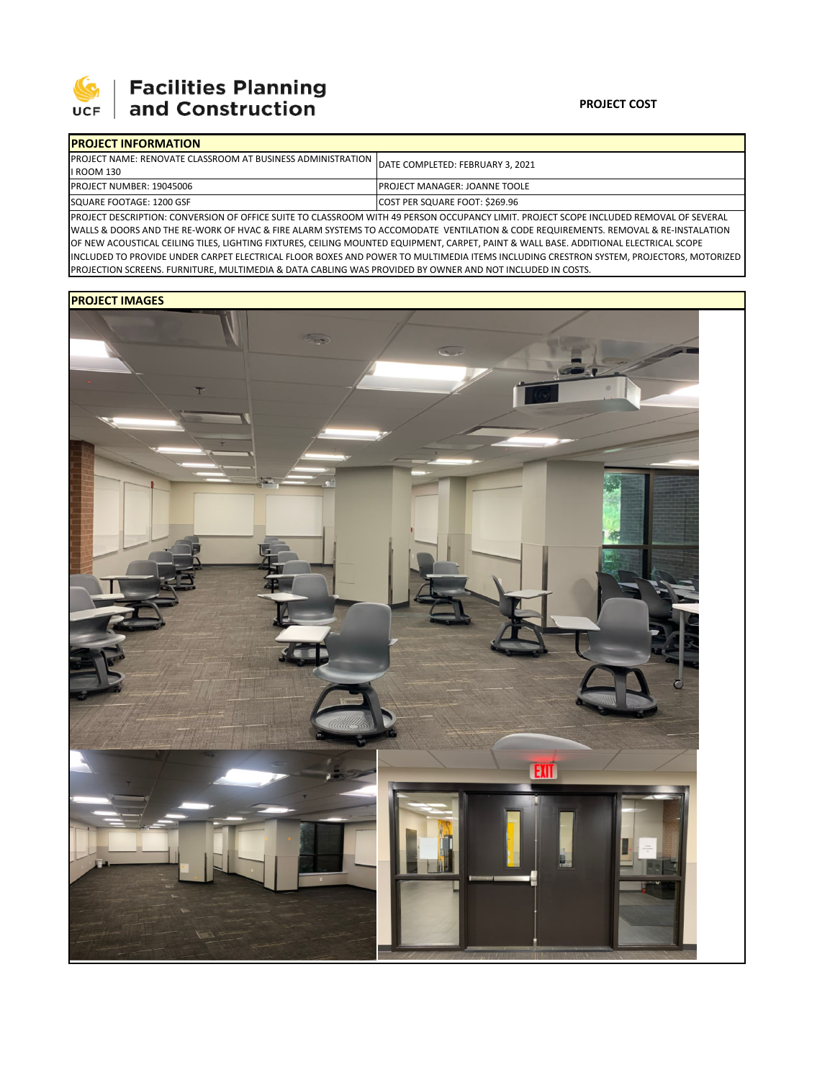

## 

| <b>PROJECT INFORMATION</b>                                                                   |                                      |  |
|----------------------------------------------------------------------------------------------|--------------------------------------|--|
| PROJECT NAME: RENOVATE CLASSROOM AT BUSINESS ADMINISTRATION DATE COMPLETED: FEBRUARY 3, 2021 |                                      |  |
| I ROOM 130                                                                                   |                                      |  |
| PROJECT NUMBER: 19045006                                                                     | <b>PROJECT MANAGER: JOANNE TOOLE</b> |  |
| SQUARE FOOTAGE: 1200 GSF                                                                     | COST PER SQUARE FOOT: \$269.96       |  |
|                                                                                              |                                      |  |

PROJECT DESCRIPTION: CONVERSION OF OFFICE SUITE TO CLASSROOM WITH 49 PERSON OCCUPANCY LIMIT. PROJECT SCOPE INCLUDED REMOVAL OF SEVERAL WALLS & DOORS AND THE RE‐WORK OF HVAC & FIRE ALARM SYSTEMS TO ACCOMODATE VENTILATION & CODE REQUIREMENTS. REMOVAL & RE‐INSTALATION OF NEW ACOUSTICAL CEILING TILES, LIGHTING FIXTURES, CEILING MOUNTED EQUIPMENT, CARPET, PAINT & WALL BASE. ADDITIONAL ELECTRICAL SCOPE INCLUDED TO PROVIDE UNDER CARPET ELECTRICAL FLOOR BOXES AND POWER TO MULTIMEDIA ITEMS INCLUDING CRESTRON SYSTEM, PROJECTORS, MOTORIZED PROJECTION SCREENS. FURNITURE, MULTIMEDIA & DATA CABLING WAS PROVIDED BY OWNER AND NOT INCLUDED IN COSTS.

## **PROJECT IMAGES**